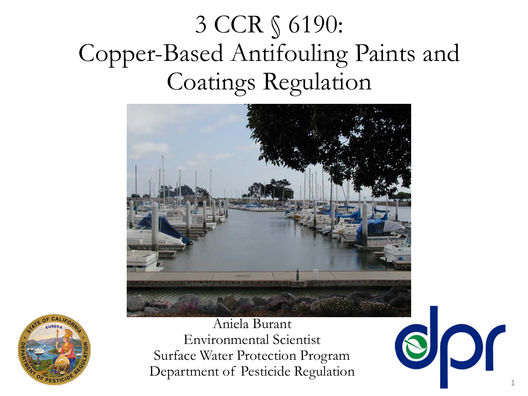#### 3 CCR § 6190: Copper-Based Antifouling Paints and Coatings Regulation





Aniela Burant Environmental Scientist Surface Water Protection Program Department of Pesticide Regulation

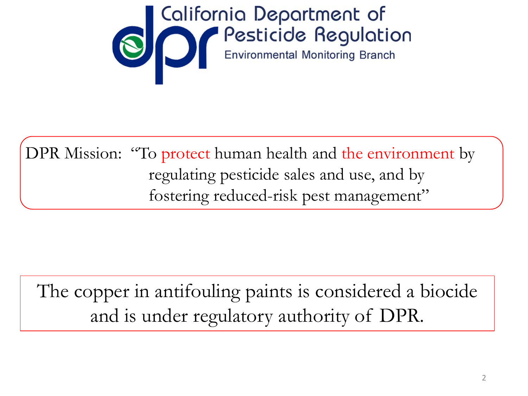

DPR Mission: "To protect human health and the environment by regulating pesticide sales and use, and by fostering reduced-risk pest management"

The copper in antifouling paints is considered a biocide and is under regulatory authority of DPR.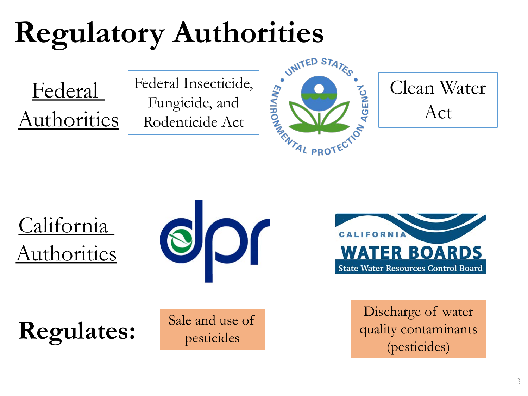# **Regulatory Authorities**<br>
Federal Fungicide, and<br>
Authorities Rodenticide Act Register

Federal Authorities Federal Insecticide, Fungicide, and Rodenticide Act





California Authorities





Regulates: **Regulates: Particulates: Pesticides Pesticides** *pesticides (pesticides)* 

Sale and use of pesticides

Discharge of water quality contaminants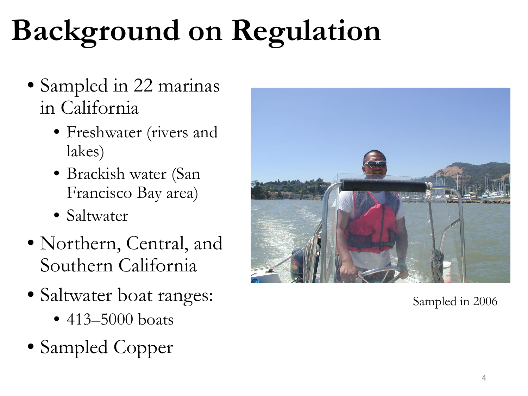# **Background on Regulation**

- Sampled in 22 marinas in California
	- Freshwater (rivers and lakes)
	- Brackish water (San Francisco Bay area)
	- Saltwater
- Northern, Central, and Southern California
- Saltwater boat ranges:
	- 413–5000 boats
- Sampled Copper



Sampled in 2006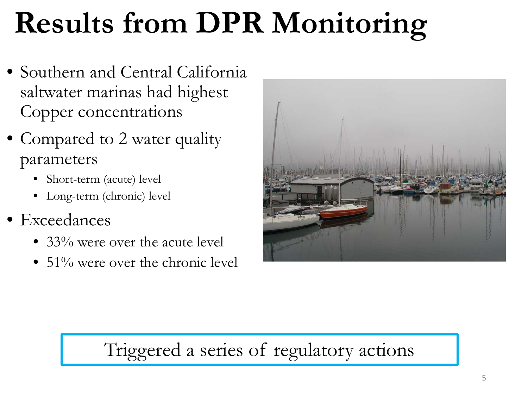# **Results from DPR Monitoring**

- Southern and Central California saltwater marinas had highest Copper concentrations
- Compared to 2 water quality parameters
	- Short-term (acute) level
	- Long-term (chronic) level
- Exceedances
	- 33% were over the acute level
	- $51\%$  were over the chronic level



#### Triggered a series of regulatory actions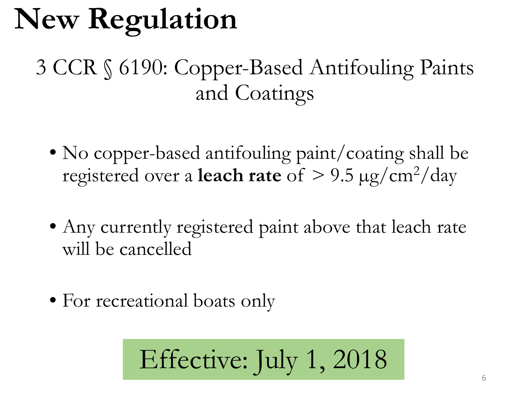# **New Regulation**

#### 3 CCR § 6190: Copper-Based Antifouling Paints and Coatings

- No copper-based antifouling paint/coating shall be registered over a **leach rate** of  $> 9.5 \mu g/cm^2/day$
- Any currently registered paint above that leach rate will be cancelled
- For recreational boats only

Effective: July 1, 2018 6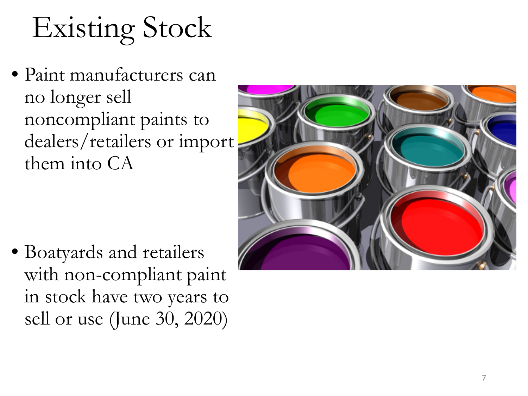#### Existing Stock

• Paint manufacturers can no longer sell noncompliant paints to dealers/retailers or import them into CA

• Boatyards and retailers with non -compliant paint in stock have two years to sell or use (June 30, 2020)

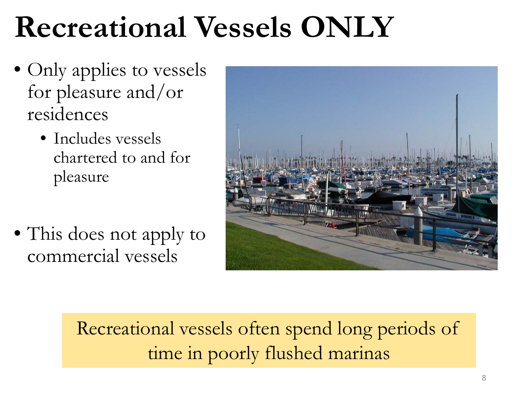#### **Recreational Vessels ONLY**

- Only applies to vessels for pleasure and/or residences
	- Includes vessels chartered to and for pleasure
- This does not apply to commercial vessels



Recreational vessels often spend long periods of time in poorly flushed marinas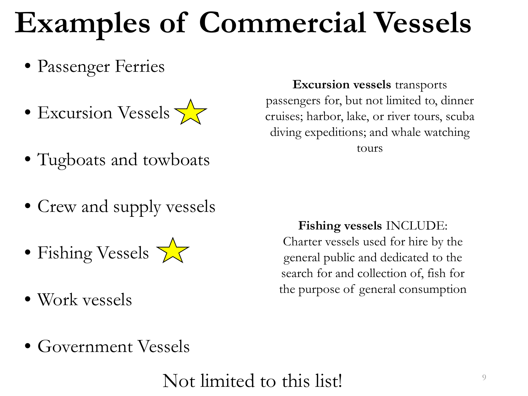## **Examples of Commercial Vessels**

- Passenger Ferries
- Excursion Vessels  $\sqrt{\phantom{a}}$
- Tugboats and towboats
- Crew and supply vessels
- Fishing Vessels  $\sqrt{\mathcal{L}}$
- Work vessels

**Excursion vessels** transports passengers for, but not limited to, dinner cruises; harbor, lake, or river tours, scuba diving expeditions; and whale watching tours

**Fishing vessels** INCLUDE: Charter vessels used for hire by the general public and dedicated to the search for and collection of, fish for the purpose of general consumption

• Government Vessels

Not limited to this list!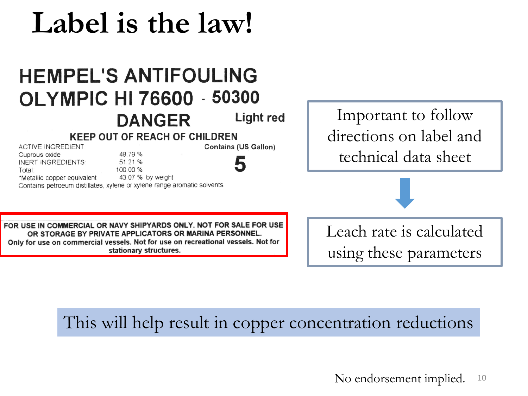#### **Label is the law!**

#### **HEMPEL'S ANTIFOULING OLYMPIC HI 76600 - 50300 Light red DANGER KEEP OUT OF REACH OF CHILDREN**

48.79 %

51.21 %

100.00 %

Contains petroeum distillates, xylene or xylene range aromatic solvents

**ACTIVE INGREDIENT** 

**INERT INGREDIENTS** 

\*Metallic copper equivalent

Cuprous oxide

Total

Important to follow directions on label and technical data sheet

FOR USE IN COMMERCIAL OR NAVY SHIPYARDS ONLY. NOT FOR SALE FOR USE OR STORAGE BY PRIVATE APPLICATORS OR MARINA PERSONNEL. Only for use on commercial vessels. Not for use on recreational vessels. Not for stationary structures.

43.07 % by weight

Leach rate is calculated using these parameters

#### This will help result in copper concentration reductions

**Contains (US Gallon)**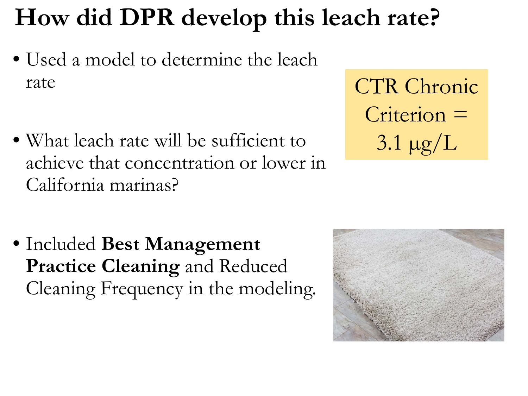#### **How did DPR develop this leach rate?**

- Used a model to determine the leach rate
- What leach rate will be sufficient to achieve that concentration or lower in California marinas?
- Included **Best Management Practice Cleaning** and Reduced Cleaning Frequency in the modeling.

CTR Chronic Criterion =  $3.1 \mu g/L$ 

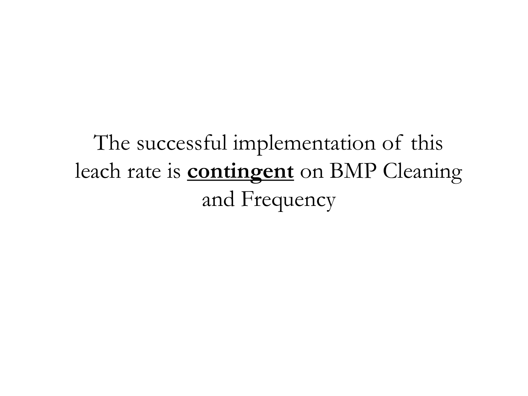The successful implementation of this leach rate is **contingent** on BMP Cleaning and Frequency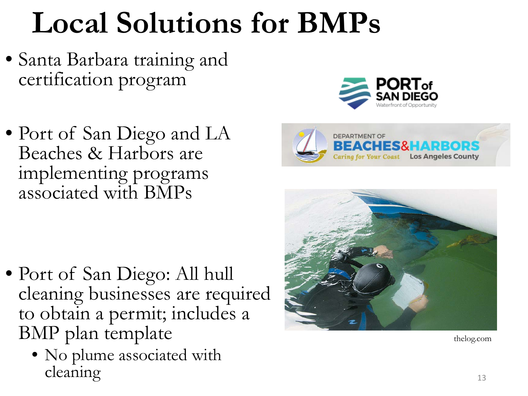### **Local Solutions for BMPs**

- Santa Barbara training and certification program
- Port of San Diego and LA Beaches & Harbors are implementing programs associated with BMPs



• No plume associated with cleaning the set of the set of the set of the set of the set of the set of the set of the set of the set of the set of the set of the set of the set of the set of the set of the set of the set of the set of the set of the





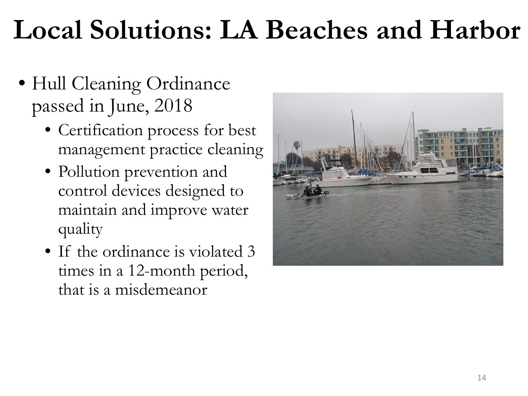#### **Local Solutions: LA Beaches and Harbor**

- Hull Cleaning Ordinance passed in June, 2018
	- Certification process for best management practice cleaning
	- Pollution prevention and control devices designed to maintain and improve water quality
	- If the ordinance is violated 3 times in a 12-month period, that is a misdemeanor

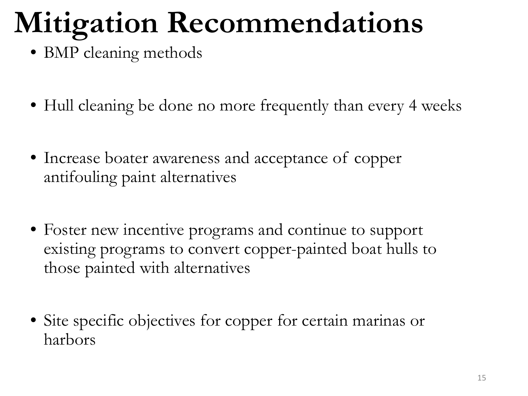# **Mitigation Recommendations**

- BMP cleaning methods
- Hull cleaning be done no more frequently than every 4 weeks
- Increase boater awareness and acceptance of copper antifouling paint alternatives
- Foster new incentive programs and continue to support existing programs to convert copper-painted boat hulls to those painted with alternatives
- Site specific objectives for copper for certain marinas or harbors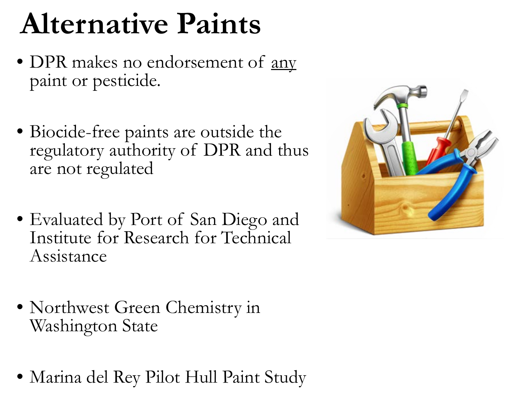#### **Alternative Paints**

- DPR makes no endorsement of <u>any</u> paint or pesticide.
- Biocide-free paints are outside the regulatory authority of DPR and thus are not regulated
- Evaluated by Port of San Diego and Institute for Research for Technical Assistance
- Northwest Green Chemistry in Washington State
- Marina del Rey Pilot Hull Paint Study

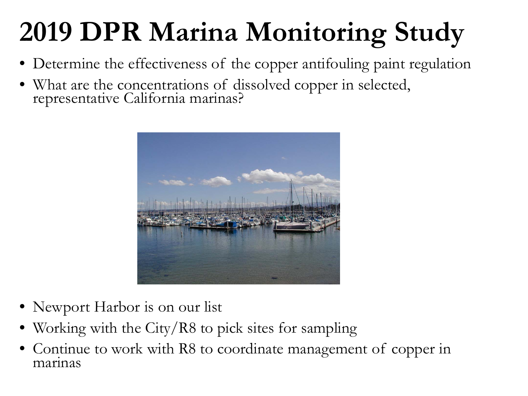#### **2019 DPR Marina Monitoring Study**

- Determine the effectiveness of the copper antifouling paint regulation
- What are the concentrations of dissolved copper in selected, representative California marinas?



- Newport Harbor is on our list
- Working with the City/R8 to pick sites for sampling
- Continue to work with R8 to coordinate management of copper in marinas